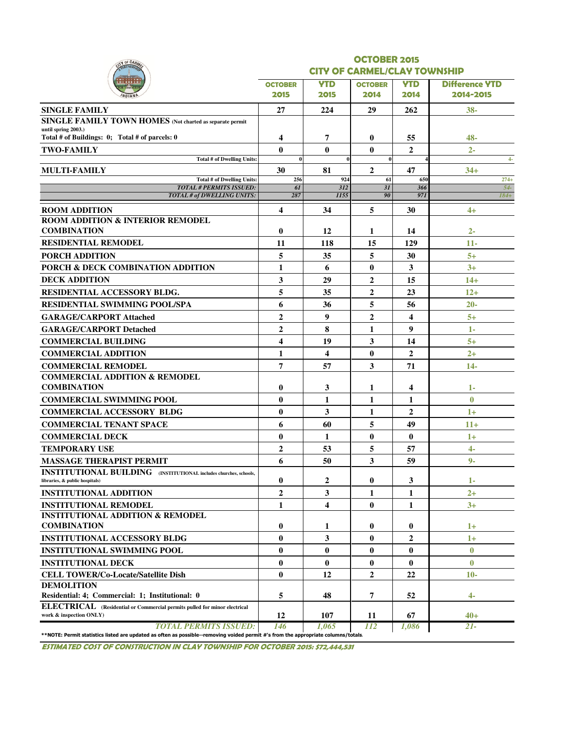|                                                                                                                                                                    |                |                                     | <b>OCTOBER 2015</b> |                |                       |  |  |  |  |  |  |
|--------------------------------------------------------------------------------------------------------------------------------------------------------------------|----------------|-------------------------------------|---------------------|----------------|-----------------------|--|--|--|--|--|--|
|                                                                                                                                                                    |                | <b>CITY OF CARMEL/CLAY TOWNSHIP</b> |                     |                |                       |  |  |  |  |  |  |
|                                                                                                                                                                    | <b>OCTOBER</b> | <b>YTD</b>                          | <b>OCTOBER</b>      | <b>YTD</b>     | <b>Difference YTD</b> |  |  |  |  |  |  |
|                                                                                                                                                                    | 2015           | 2015                                | 2014                | 2014           | 2014-2015             |  |  |  |  |  |  |
| <b>SINGLE FAMILY</b>                                                                                                                                               | 27             | 224                                 | 29                  | 262            | $38 -$                |  |  |  |  |  |  |
| SINGLE FAMILY TOWN HOMES (Not charted as separate permit                                                                                                           |                |                                     |                     |                |                       |  |  |  |  |  |  |
| until spring 2003.)<br>Total # of Buildings: 0; Total # of parcels: 0                                                                                              | 4              | 7                                   | $\bf{0}$            | 55             | 48-                   |  |  |  |  |  |  |
| <b>TWO-FAMILY</b>                                                                                                                                                  | $\bf{0}$       | $\bf{0}$                            | $\bf{0}$            | $\overline{2}$ | $2 -$                 |  |  |  |  |  |  |
| <b>Total # of Dwelling Units:</b>                                                                                                                                  | $\bf{0}$       |                                     | $\bf{0}$            |                | $4-$                  |  |  |  |  |  |  |
| <b>MULTI-FAMILY</b>                                                                                                                                                | 30             | 81                                  | $\overline{2}$      | 47             | $34+$                 |  |  |  |  |  |  |
| <b>Total # of Dwelling Units:</b><br><b>TOTAL # PERMITS ISSUED:</b>                                                                                                | 256<br>61      | 924<br>312                          | 61<br>3I            | 650<br>366     | $274+$<br>$54-$       |  |  |  |  |  |  |
| TOTAL # of DWELLING UNITS:                                                                                                                                         | 287            | 1155                                | 90                  | 971            | $184+$                |  |  |  |  |  |  |
| <b>ROOM ADDITION</b>                                                                                                                                               | 4              | 34                                  | 5                   | 30             | $4+$                  |  |  |  |  |  |  |
| <b>ROOM ADDITION &amp; INTERIOR REMODEL</b>                                                                                                                        |                |                                     |                     |                |                       |  |  |  |  |  |  |
| <b>COMBINATION</b>                                                                                                                                                 | $\bf{0}$       | 12                                  | 1                   | 14             | $2 -$                 |  |  |  |  |  |  |
| <b>RESIDENTIAL REMODEL</b>                                                                                                                                         | 11             | 118                                 | 15                  | 129            | $11-$                 |  |  |  |  |  |  |
| <b>PORCH ADDITION</b>                                                                                                                                              | 5              | 35                                  | 5                   | 30             | $5+$                  |  |  |  |  |  |  |
| PORCH & DECK COMBINATION ADDITION                                                                                                                                  | 1              | 6                                   | $\bf{0}$            | 3              | $3+$                  |  |  |  |  |  |  |
| <b>DECK ADDITION</b>                                                                                                                                               | 3              | 29                                  | 2                   | 15             | $14+$                 |  |  |  |  |  |  |
| <b>RESIDENTIAL ACCESSORY BLDG.</b>                                                                                                                                 | 5              | 35                                  | $\overline{2}$      | 23             | $12+$                 |  |  |  |  |  |  |
| <b>RESIDENTIAL SWIMMING POOL/SPA</b>                                                                                                                               | 6              | 36                                  | 5                   | 56             | $20 -$                |  |  |  |  |  |  |
| <b>GARAGE/CARPORT Attached</b>                                                                                                                                     | $\overline{2}$ | 9                                   | $\overline{2}$      | 4              | $5+$                  |  |  |  |  |  |  |
| <b>GARAGE/CARPORT Detached</b>                                                                                                                                     | $\overline{2}$ | 8                                   | 1                   | 9              | $1-$                  |  |  |  |  |  |  |
| <b>COMMERCIAL BUILDING</b>                                                                                                                                         | 4              | 19                                  | 3                   | 14             | $5+$                  |  |  |  |  |  |  |
| <b>COMMERCIAL ADDITION</b>                                                                                                                                         | $\mathbf{1}$   | 4                                   | $\bf{0}$            | $\overline{2}$ | $2+$                  |  |  |  |  |  |  |
| <b>COMMERCIAL REMODEL</b>                                                                                                                                          | 7              | 57                                  | 3                   | 71             | $14-$                 |  |  |  |  |  |  |
| <b>COMMERCIAL ADDITION &amp; REMODEL</b>                                                                                                                           |                |                                     |                     |                |                       |  |  |  |  |  |  |
| <b>COMBINATION</b>                                                                                                                                                 | $\bf{0}$       | 3                                   | 1                   | 4              | $1-$                  |  |  |  |  |  |  |
| <b>COMMERCIAL SWIMMING POOL</b>                                                                                                                                    | $\bf{0}$       | 1                                   | 1                   | 1              | $\bf{0}$              |  |  |  |  |  |  |
| <b>COMMERCIAL ACCESSORY BLDG</b>                                                                                                                                   | $\bf{0}$       | 3                                   | 1                   | 2              | $1+$                  |  |  |  |  |  |  |
| <b>COMMERCIAL TENANT SPACE</b>                                                                                                                                     | 6              | 60                                  | 5                   | 49             | $11+$                 |  |  |  |  |  |  |
| <b>COMMERCIAL DECK</b>                                                                                                                                             | $\bf{0}$       | 1                                   | $\bf{0}$            | $\bf{0}$       | $1+$                  |  |  |  |  |  |  |
| <b>TEMPORARY USE</b>                                                                                                                                               | $\mathbf{2}$   | 53                                  | 5                   | 57             | $4 -$                 |  |  |  |  |  |  |
| <b>MASSAGE THERAPIST PERMIT</b>                                                                                                                                    | 6              | 50                                  | 3                   | 59             | $9-$                  |  |  |  |  |  |  |
| <b>INSTITUTIONAL BUILDING</b> (INSTITUTIONAL includes churches, schools,<br>libraries, & public hospitals)                                                         | 0              | 2                                   | 0                   | 3              | $1 -$                 |  |  |  |  |  |  |
| <b>INSTITUTIONAL ADDITION</b>                                                                                                                                      | $\overline{2}$ | 3                                   | 1                   | 1              | $2+$                  |  |  |  |  |  |  |
| <b>INSTITUTIONAL REMODEL</b>                                                                                                                                       | 1              | 4                                   | $\bf{0}$            | 1              | $3+$                  |  |  |  |  |  |  |
| <b>INSTITUTIONAL ADDITION &amp; REMODEL</b>                                                                                                                        |                |                                     |                     |                |                       |  |  |  |  |  |  |
| <b>COMBINATION</b>                                                                                                                                                 | $\bf{0}$       | 1                                   | $\bf{0}$            | $\bf{0}$       | $1+$                  |  |  |  |  |  |  |
| <b>INSTITUTIONAL ACCESSORY BLDG</b>                                                                                                                                | $\bf{0}$       | 3                                   | $\bf{0}$            | 2              | $1+$                  |  |  |  |  |  |  |
| <b>INSTITUTIONAL SWIMMING POOL</b>                                                                                                                                 | $\bf{0}$       | $\bf{0}$                            | 0                   | 0              | $\bf{0}$              |  |  |  |  |  |  |
| <b>INSTITUTIONAL DECK</b>                                                                                                                                          | $\bf{0}$       | $\bf{0}$                            | $\bf{0}$            | $\bf{0}$       | $\bf{0}$              |  |  |  |  |  |  |
| <b>CELL TOWER/Co-Locate/Satellite Dish</b>                                                                                                                         | $\bf{0}$       | 12                                  | $\mathbf{2}$        | 22             | $10-$                 |  |  |  |  |  |  |
| <b>DEMOLITION</b>                                                                                                                                                  |                |                                     |                     |                |                       |  |  |  |  |  |  |
| Residential: 4; Commercial: 1; Institutional: 0                                                                                                                    | 5              | 48                                  | 7                   | 52             | $4-$                  |  |  |  |  |  |  |
| ELECTRICAL (Residential or Commercial permits pulled for minor electrical<br>work & inspection ONLY)                                                               | 12             | 107                                 | 11                  | 67             | $40+$                 |  |  |  |  |  |  |
| <b>TOTAL PERMITS ISSUED:</b><br>**NOTE: Permit statistics listed are updated as often as possible--removing voided permit #'s from the appropriate columns/totals. | 146            | 1.065                               | 112                 | 1,086          | $21-$                 |  |  |  |  |  |  |

ESTIMATED COST OF CONSTRUCTION IN CLAY TOWNSHIP FOR OCTOBER 2015: \$72,444,531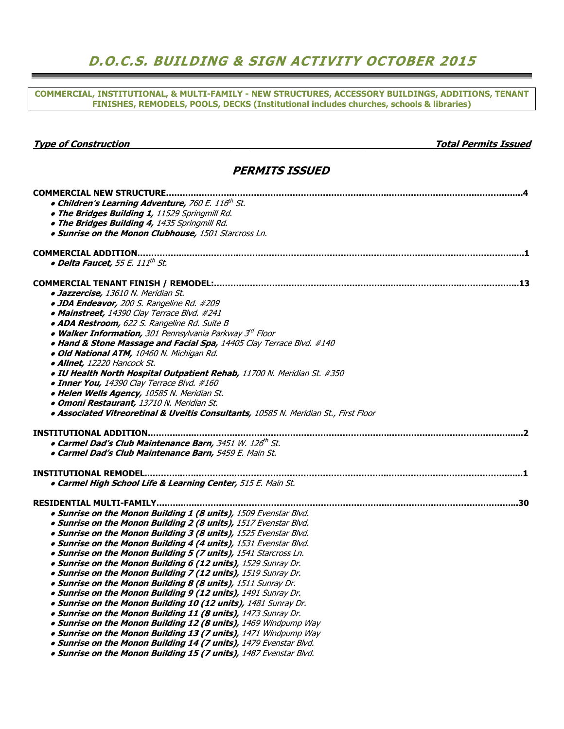## D.O.C.S. BUILDING & SIGN ACTIVITY OCTOBER 2015

COMMERCIAL, INSTITUTIONAL, & MULTI-FAMILY - NEW STRUCTURES, ACCESSORY BUILDINGS, ADDITIONS, TENANT FINISHES, REMODELS, POOLS, DECKS (Institutional includes churches, schools & libraries)

| <b>Type of Construction</b>                                                          | <b>Total Permits Issued</b> |
|--------------------------------------------------------------------------------------|-----------------------------|
| <b>PERMITS ISSUED</b>                                                                |                             |
| <b>COMMERCIAL NEW STRUCTURE</b>                                                      |                             |
| • Children's Learning Adventure, 760 E. 116th St.                                    |                             |
| . The Bridges Building 1, 11529 Springmill Rd.                                       |                             |
| . The Bridges Building 4, 1435 Springmill Rd.                                        |                             |
| . Sunrise on the Monon Clubhouse, 1501 Starcross Ln.                                 |                             |
|                                                                                      |                             |
| • Delta Faucet, 55 E. 111 <sup>th</sup> St.                                          |                             |
|                                                                                      |                             |
| · Jazzercise, 13610 N. Meridian St.                                                  |                             |
| · JDA Endeavor, 200 S. Rangeline Rd. #209                                            |                             |
| • Mainstreet, 14390 Clay Terrace Blvd. #241                                          |                             |
| · ADA Restroom, 622 S. Rangeline Rd. Suite B                                         |                             |
| • Walker Information, 301 Pennsylvania Parkway 3rd Floor                             |                             |
| . Hand & Stone Massage and Facial Spa, 14405 Clay Terrace Blvd. #140                 |                             |
| · Old National ATM, 10460 N. Michigan Rd.                                            |                             |
| · Allnet, 12220 Hancock St.                                                          |                             |
| . IU Health North Hospital Outpatient Rehab, 11700 N. Meridian St. #350              |                             |
| • Inner You, 14390 Clay Terrace Blvd. #160                                           |                             |
| · Helen Wells Agency, 10585 N. Meridian St.                                          |                             |
| · Omoni Restaurant, 13710 N. Meridian St.                                            |                             |
| · Associated Vitreoretinal & Uveitis Consultants, 10585 N. Meridian St., First Floor |                             |
| <b>INSTITUTIONAL ADDITION</b>                                                        |                             |
| • Carmel Dad's Club Maintenance Barn, 3451 W. 126th St.                              |                             |
| · Carmel Dad's Club Maintenance Barn, 5459 E. Main St.                               |                             |
|                                                                                      |                             |
| · Carmel High School Life & Learning Center, 515 E. Main St.                         |                             |
|                                                                                      |                             |
| . Sunrise on the Monon Building 1 (8 units), 1509 Evenstar Blvd.                     |                             |
| . Sunrise on the Monon Building 2 (8 units), 1517 Evenstar Blvd.                     |                             |
| . Sunrise on the Monon Building 3 (8 units), 1525 Evenstar Blvd.                     |                             |
| . Sunrise on the Monon Building 4 (4 units), 1531 Evenstar Blvd.                     |                             |
| . Sunrise on the Monon Building 5 (7 units), 1541 Starcross Ln.                      |                             |
| . Sunrise on the Monon Building 6 (12 units), 1529 Sunray Dr.                        |                             |
| . Sunrise on the Monon Building 7 (12 units), 1519 Sunray Dr.                        |                             |
| . Sunrise on the Monon Building 8 (8 units), 1511 Sunray Dr.                         |                             |
| . Sunrise on the Monon Building 9 (12 units), 1491 Sunray Dr.                        |                             |
| . Sunrise on the Monon Building 10 (12 units), 1481 Sunray Dr.                       |                             |
| . Sunrise on the Monon Building 11 (8 units), 1473 Sunray Dr.                        |                             |
| . Sunrise on the Monon Building 12 (8 units), 1469 Windpump Way                      |                             |
| . Sunrise on the Monon Building 13 (7 units), 1471 Windpump Way                      |                             |
| . Sunrise on the Monon Building 14 (7 units), 1479 Evenstar Blvd.                    |                             |

• Sunrise on the Monon Building 15 (7 units), 1487 Evenstar Blvd.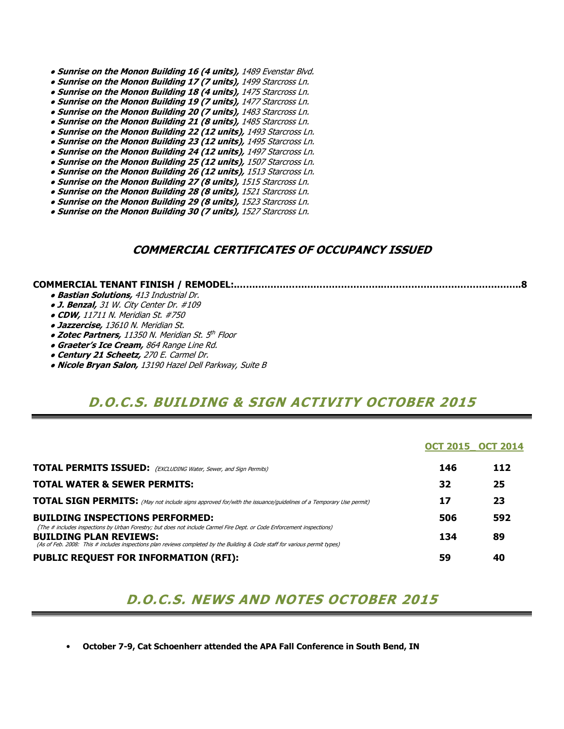- **Sunrise on the Monon Building 16 (4 units),** 1489 Evenstar Blvd.
- Sunrise on the Monon Building 17 (7 units), 1499 Starcross Ln.
- Sunrise on the Monon Building 18 (4 units), 1475 Starcross Ln.
- Sunrise on the Monon Building 19 (7 units), 1477 Starcross Ln.
- Sunrise on the Monon Building 20 (7 units), 1483 Starcross Ln.
- Sunrise on the Monon Building 21 (8 units), 1485 Starcross Ln.
- Sunrise on the Monon Building 22 (12 units), 1493 Starcross Ln.
- Sunrise on the Monon Building 23 (12 units), 1495 Starcross Ln.
- Sunrise on the Monon Building 24 (12 units), 1497 Starcross Ln.
- Sunrise on the Monon Building 25 (12 units), 1507 Starcross Ln.
- **Sunrise on the Monon Building 26 (12 units), 1513 Starcross Ln.**
- Sunrise on the Monon Building 27 (8 units), 1515 Starcross Ln.
- Sunrise on the Monon Building 28 (8 units), 1521 Starcross Ln.
- Sunrise on the Monon Building 29 (8 units), 1523 Starcross Ln. ● Sunrise on the Monon Building 30 (7 units), 1527 Starcross Ln.

### COMMERCIAL CERTIFICATES OF OCCUPANCY ISSUED

#### COMMERCIAL TENANT FINISH / REMODEL:.…….…………………………………..……………………………….……..8

- **Bastian Solutions, 413 Industrial Dr.**
- J. Benzal, 31 W. City Center Dr. #109
- CDW, 11711 N. Meridian St. #750
- **Jazzercise, 13610 N. Meridian St.**
- Zotec Partners, 11350 N. Meridian St. 5<sup>th</sup> Floor
- **Graeter's Ice Cream, 864 Range Line Rd.**
- Century 21 Scheetz, 270 E. Carmel Dr.
- Nicole Bryan Salon, 13190 Hazel Dell Parkway, Suite B

### D.O.C.S. BUILDING & SIGN ACTIVITY OCTOBER 2015

|                                                                                                                                                                                                                                                                                        | <b>OCT 2015 OCT 2014</b> |     |
|----------------------------------------------------------------------------------------------------------------------------------------------------------------------------------------------------------------------------------------------------------------------------------------|--------------------------|-----|
| <b>TOTAL PERMITS ISSUED:</b> (EXCLUDING Water, Sewer, and Sign Permits)                                                                                                                                                                                                                | 146                      | 112 |
| <b>TOTAL WATER &amp; SEWER PERMITS:</b>                                                                                                                                                                                                                                                | 32                       | 25  |
| <b>TOTAL SIGN PERMITS:</b> (May not include signs approved for/with the issuance/guidelines of a Temporary Use permit)                                                                                                                                                                 | 17                       | 23  |
| <b>BUILDING INSPECTIONS PERFORMED:</b>                                                                                                                                                                                                                                                 | 506                      | 592 |
| (The # includes inspections by Urban Forestry; but does not include Carmel Fire Dept. or Code Enforcement inspections)<br><b>BUILDING PLAN REVIEWS:</b><br>(As of Feb. 2008: This # includes inspections plan reviews completed by the Building & Code staff for various permit types) | 134                      | 89  |
| <b>PUBLIC REQUEST FOR INFORMATION (RFI):</b>                                                                                                                                                                                                                                           | 59                       | 40  |

## D.O.C.S. NEWS AND NOTES OCTOBER 2015

• October 7-9, Cat Schoenherr attended the APA Fall Conference in South Bend, IN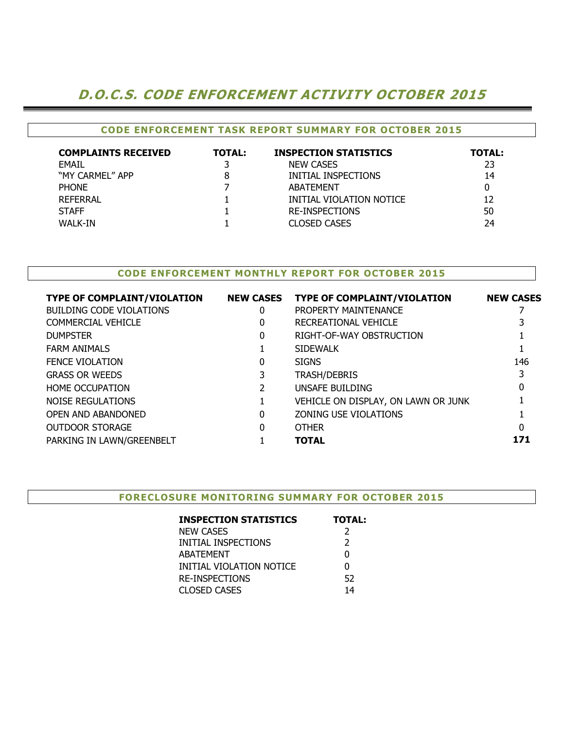## D.O.C.S. CODE ENFORCEMENT ACTIVITY OCTOBER 2015

### CODE ENFORCEMENT TASK REPORT SUMMARY FOR OCTOBER 2015

| <b>COMPLAINTS RECEIVED</b> | <b>TOTAL:</b> | <b>INSPECTION STATISTICS</b> | <b>TOTAL:</b> |
|----------------------------|---------------|------------------------------|---------------|
| <b>FMAIL</b>               |               | <b>NEW CASES</b>             | 23            |
| "MY CARMEL" APP            |               | INITIAL INSPECTIONS          | 14            |
| <b>PHONE</b>               |               | ABATEMENT                    |               |
| REFERRAL                   |               | INITIAL VIOLATION NOTICE     |               |
| <b>STAFF</b>               |               | <b>RE-INSPECTIONS</b>        | 50            |
| WALK-IN                    |               | <b>CLOSED CASES</b>          | 24            |

### CODE ENFORCEMENT MONTHLY REPORT FOR OCTOBER 2015

| <b>TYPE OF COMPLAINT/VIOLATION</b> | <b>NEW CASES</b> | <b>TYPE OF COMPLAINT/VIOLATION</b>  | <b>NEW CASES</b> |
|------------------------------------|------------------|-------------------------------------|------------------|
| BUILDING CODE VIOLATIONS           | 0                | PROPERTY MAINTENANCE                |                  |
| <b>COMMERCIAL VEHICLE</b>          | 0                | RECREATIONAL VEHICLE                |                  |
| <b>DUMPSTER</b>                    | 0                | RIGHT-OF-WAY OBSTRUCTION            |                  |
| <b>FARM ANIMALS</b>                |                  | <b>SIDEWALK</b>                     |                  |
| <b>FENCE VIOLATION</b>             | 0                | <b>SIGNS</b>                        | 146              |
| <b>GRASS OR WEEDS</b>              | 3                | <b>TRASH/DEBRIS</b>                 |                  |
| <b>HOME OCCUPATION</b>             |                  | UNSAFE BUILDING                     | 0                |
| NOISE REGULATIONS                  |                  | VEHICLE ON DISPLAY, ON LAWN OR JUNK |                  |
| OPEN AND ABANDONED                 | 0                | <b>ZONING USE VIOLATIONS</b>        |                  |
| <b>OUTDOOR STORAGE</b>             | 0                | <b>OTHER</b>                        | 0                |
| PARKING IN LAWN/GREENBELT          |                  | <b>TOTAL</b>                        | 171              |
|                                    |                  |                                     |                  |

#### FORECLOSURE MONITORING SUMMARY FOR OCTOBER 2015

| <b>INSPECTION STATISTICS</b> | <b>TOTAL:</b> |
|------------------------------|---------------|
| <b>NEW CASES</b>             | 2             |
| INITIAL INSPECTIONS          | $\mathcal{P}$ |
| <b>ABATEMENT</b>             | 0             |
| INITIAL VIOLATION NOTICE     | 0             |
| <b>RE-INSPECTIONS</b>        | 52            |
| <b>CLOSED CASES</b>          | 14            |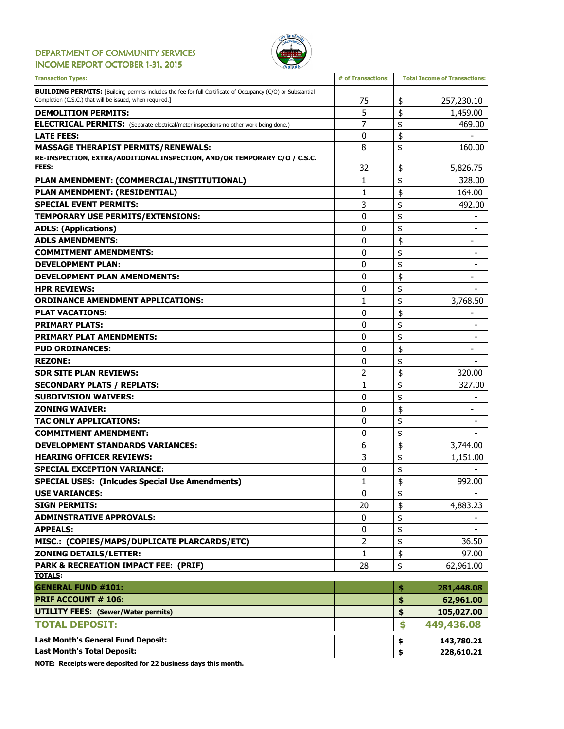#### DEPARTMENT OF COMMUNITY SERVICES INCOME REPORT OCTOBER 1-31, 2015



| <b>Transaction Types:</b>                                                                                                                                                      | # of Transactions: | <b>Total Income of Transactions:</b> |
|--------------------------------------------------------------------------------------------------------------------------------------------------------------------------------|--------------------|--------------------------------------|
| <b>BUILDING PERMITS:</b> [Building permits includes the fee for full Certificate of Occupancy (C/O) or Substantial<br>Completion (C.S.C.) that will be issued, when required.] | 75                 | 257,230.10<br>\$                     |
| <b>DEMOLITION PERMITS:</b>                                                                                                                                                     | 5                  | \$<br>1,459.00                       |
| <b>ELECTRICAL PERMITS:</b> (Separate electrical/meter inspections-no other work being done.)                                                                                   | 7                  | \$<br>469.00                         |
| <b>LATE FEES:</b>                                                                                                                                                              | 0                  | \$                                   |
| <b>MASSAGE THERAPIST PERMITS/RENEWALS:</b>                                                                                                                                     | 8                  | \$<br>160.00                         |
| RE-INSPECTION, EXTRA/ADDITIONAL INSPECTION, AND/OR TEMPORARY C/O / C.S.C.<br><b>FEES:</b>                                                                                      | 32                 | \$<br>5,826.75                       |
| PLAN AMENDMENT: (COMMERCIAL/INSTITUTIONAL)                                                                                                                                     | 1                  | \$<br>328.00                         |
| PLAN AMENDMENT: (RESIDENTIAL)                                                                                                                                                  | 1                  | \$<br>164.00                         |
| <b>SPECIAL EVENT PERMITS:</b>                                                                                                                                                  | 3                  | \$<br>492.00                         |
| TEMPORARY USE PERMITS/EXTENSIONS:                                                                                                                                              | 0                  | \$                                   |
| <b>ADLS: (Applications)</b>                                                                                                                                                    | 0                  | \$                                   |
| <b>ADLS AMENDMENTS:</b>                                                                                                                                                        | $\mathbf{0}$       | \$<br>$\qquad \qquad \blacksquare$   |
| <b>COMMITMENT AMENDMENTS:</b>                                                                                                                                                  | 0                  | \$                                   |
| <b>DEVELOPMENT PLAN:</b>                                                                                                                                                       | 0                  | \$                                   |
| <b>DEVELOPMENT PLAN AMENDMENTS:</b>                                                                                                                                            | 0                  | \$<br>$\overline{\phantom{0}}$       |
| <b>HPR REVIEWS:</b>                                                                                                                                                            | $\mathbf{0}$       | \$                                   |
| <b>ORDINANCE AMENDMENT APPLICATIONS:</b>                                                                                                                                       | 1                  | \$<br>3,768.50                       |
| <b>PLAT VACATIONS:</b>                                                                                                                                                         | 0                  | \$                                   |
| <b>PRIMARY PLATS:</b>                                                                                                                                                          | 0                  | \$                                   |
| <b>PRIMARY PLAT AMENDMENTS:</b>                                                                                                                                                | 0                  | \$                                   |
| <b>PUD ORDINANCES:</b>                                                                                                                                                         | 0                  | \$                                   |
| <b>REZONE:</b>                                                                                                                                                                 | 0                  | \$                                   |
| <b>SDR SITE PLAN REVIEWS:</b>                                                                                                                                                  | 2                  | \$<br>320.00                         |
| <b>SECONDARY PLATS / REPLATS:</b>                                                                                                                                              | 1                  | \$<br>327.00                         |
| <b>SUBDIVISION WAIVERS:</b>                                                                                                                                                    | 0                  | \$                                   |
| <b>ZONING WAIVER:</b>                                                                                                                                                          | 0                  | \$<br>$\overline{\phantom{0}}$       |
| <b>TAC ONLY APPLICATIONS:</b>                                                                                                                                                  | 0                  | \$                                   |
| <b>COMMITMENT AMENDMENT:</b>                                                                                                                                                   | 0                  | \$                                   |
| <b>DEVELOPMENT STANDARDS VARIANCES:</b>                                                                                                                                        | 6                  | \$<br>3,744.00                       |
| <b>HEARING OFFICER REVIEWS:</b>                                                                                                                                                | 3                  | \$<br>1,151.00                       |
| <b>SPECIAL EXCEPTION VARIANCE:</b>                                                                                                                                             | 0                  | \$                                   |
| <b>SPECIAL USES: (Inlcudes Special Use Amendments)</b>                                                                                                                         | $\mathbf{1}$       | \$<br>992.00                         |
| <b>USE VARIANCES:</b>                                                                                                                                                          | 0                  | \$                                   |
| <b>SIGN PERMITS:</b>                                                                                                                                                           | 20                 | \$<br>4,883.23                       |
| <b>ADMINSTRATIVE APPROVALS:</b>                                                                                                                                                | 0                  | \$                                   |
| <b>APPEALS:</b>                                                                                                                                                                | 0                  | \$                                   |
| MISC.: (COPIES/MAPS/DUPLICATE PLARCARDS/ETC)                                                                                                                                   | 2                  | \$<br>36.50                          |
| <b>ZONING DETAILS/LETTER:</b>                                                                                                                                                  | 1                  | \$<br>97.00                          |
| <b>PARK &amp; RECREATION IMPACT FEE: (PRIF)</b>                                                                                                                                | 28                 | \$<br>62,961.00                      |
| <b>TOTALS:</b>                                                                                                                                                                 |                    |                                      |
| <b>GENERAL FUND #101:</b>                                                                                                                                                      |                    | 281,448.08<br>\$                     |
| <b>PRIF ACCOUNT # 106:</b>                                                                                                                                                     |                    | \$<br>62,961.00                      |
| <b>UTILITY FEES: (Sewer/Water permits)</b>                                                                                                                                     |                    | \$<br>105,027.00                     |
| <b>TOTAL DEPOSIT:</b>                                                                                                                                                          |                    | \$<br>449,436.08                     |
| <b>Last Month's General Fund Deposit:</b>                                                                                                                                      |                    | 143,780.21<br>\$                     |
| <b>Last Month's Total Deposit:</b>                                                                                                                                             |                    | \$<br>228,610.21                     |
|                                                                                                                                                                                |                    |                                      |

NOTE: Receipts were deposited for 22 business days this month.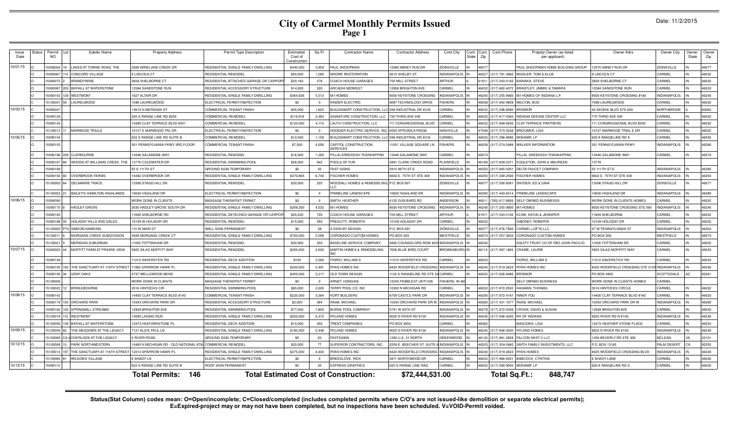| Issue<br>Date | <b>Status</b> | Permit<br>NO. | Subdiv Name                        | <b>Property Address</b>                                   | Permit Type Description               | Estimated<br>Cost of<br>Constructio | Sq Ft          | <b>Contractor Name</b>                       | <b>Contractor Address</b>    | Cont.City<br>Cont.<br><b>State</b> | Cont.Phone<br>Cont.<br>Zip        | Propety Owner (as listed<br>per applicant) | Owner Adrs                        | Owner City          | Owner<br>State | Owner<br>Zip |
|---------------|---------------|---------------|------------------------------------|-----------------------------------------------------------|---------------------------------------|-------------------------------------|----------------|----------------------------------------------|------------------------------|------------------------------------|-----------------------------------|--------------------------------------------|-----------------------------------|---------------------|----------------|--------------|
| 10/01/15      |               | 5090004       | LAKES AT TOWNE ROAD. THE           | 2568 WINELAND CREEK DF                                    | RESIDENTIAL SINGLE FAMILY DWELLING    | \$440,000                           | 3,959          | AUL SHOOPMAN                                 | 2080 ABNEY RUN DR            | <b>ZIONSVILLE</b>                  | 4607                              | PAUL SHOOPMAN HOME BUILDING GROUP          | 2070 ABNEY RUN DR                 | ZIONSVILLE          |                | 46077        |
|               |               | 15090067      | 4 CONCORD VILLAGE                  | 9 LINCOLN CT                                              | RESIDENTIAL REMODEI                   | \$50,000                            | 1,000          | <b><i>MOORE RESTORATION</i></b>              | <b>8610 SHELBY ST.</b>       | NDIANAPOLIS                        | 46227 (317) 791-3862              | MISSLER, TOM & ALLIE                       | <b>LINCOLN CT</b>                 | CARMEL              |                | 46032        |
|               |               | 1509007       | <b>BRANDYWINE</b>                  | 3658 SHELBORNE CT                                         | RESIDENTIAL ATTACHED GARAGE OR CARPOR | \$20,160                            | 576            | <b>COACH HOUSE GARAGES</b>                   | 700 MILL STREET              | ARTHUR                             | (217) 543-5102<br>1911            | BAINAKA, STEVE                             | 658 SHELBORNE CT                  | CARMEL              |                | 46032        |
|               |               | 509008        | <b>BAYHILL AT WATERSTONE</b>       | 12584 SANDSTONE RUN                                       | RESIDENTIAL ACCESSORY STRUCTURE       | \$14,000                            | 320            | <b>ARCADIA MIDWEST</b>                       | <b>12958 BRIGHTON AVE</b>    | <b>ARMEL</b>                       | (317) 682-4072<br>16032           | BRANTLEY, JIMMIE & TAMARA                  | 2584 SANDSTONE RUN                | CARMEL              |                | 46033        |
|               |               | 509015        | WESTMONT                           | 627 ALTAIR DR                                             | RESIDENTIAL SINGLE FAMILY DWELLING    | \$364,926                           | 5,513          | <b>MIHOMES</b>                               | 500 KEYSTONE CROSSING        | <b>VDIANAPOLIS</b>                 | 6240 (317) 255-9900               | M/I HOMES OF INDIANA L.P                   | 500 KEYSTONE CROSSING #190        | NDIANAPOLIS         |                | 46240        |
|               |               | 510000        | <b>AURELWOOD</b>                   | 1098 LAURELWOOD                                           | ELECTRICAL PERMIT/INSPECTION          | \$0                                 |                | INDER ELECTRIC                               | <b>9087 TECHNOLOGY DRIVE</b> | <b>ISHERS</b>                      | (317) 842-0809<br>6038            | MELTON, BUD                                | 098 LAURELWOOD                    | CARMEL              |                | 46032        |
| 10/02/15      |               | 508004        |                                    | 13610 N MERIDIAN ST                                       | COMMERCIAL TENANT FINISH              | \$35,000                            | 1,625          | <b>BUILDSMART CONSTRUCTION, LLC</b>          | 599 INDUSTRIAL DR #316       | <b>ARMEL</b>                       | 6032<br>(317) 296-8090            | <b>BRIXMOR</b>                             | <b>IO SKOKIE BLVD STE 600</b>     | NORTHBROOK          |                | 60062        |
|               |               | 15090128      |                                    | 200 S RANGE LINE RD #209                                  | COMMERCIAL REMODEI                    | \$119,919                           | 2,483          | <b>IGNATURE CONSTRUCTION, LLC</b>            | 720 THIRD AVE SW             | <b>ARMEL</b>                       | (317) 817-0360<br>603             | INDIANA DESIGN CENTER LLC                  | 70 THIRD AVE SW                   | CARMEL              |                | 46032        |
|               |               | 15090134      |                                    | 4390 CLAY TERRACE BLVD #241                               | COMMERCIAL REMODEL                    | \$120,000                           | 4.113          | LAUTH CONSTRUCTION, LLC                      | 1 CONGRESSIONAL BLVD         | <b>ARMEL</b>                       | (317) 848-6500<br>6032            | <b>CLAY TERRACE PARTNERS</b>               | 11 CONGRESSIONAL BLVD #300        | CARMEL              |                | 46032        |
|               |               | 1510001       | MARWOOD TRAILS                     | 10127 E MARWOOD TRL DR                                    | ELECTRICAL PERMIT/INSPECTION          | \$0                                 | $\Omega$       | HOOSIER ELECTRIC SERVICE. I                  | <b>5503 SPRUNICA RIDGE</b>   | VASHVILLE                          | 7448 (317) 373-5248               | <b>BROUWER, LISA</b>                       | 0127 MARWOOD TRAIL E DR           | ARMEL               |                | 46032        |
| 10/05/15      |               | 1509015       |                                    | 622 S RANGE LINE RD SUITE E                               | COMMERCIAL REMODE                     | \$12,000                            | 1,158          | <b>BUILDSMART CONSTRUCTION</b>               | 599 INDUSTRIAL DR #316       | <b>ARMEL</b>                       | (317) 296-8090<br>16032           | <b>MOHAWK LP</b>                           | 620 A RANGELINE RD \$             | CARMEL              |                | 46032        |
|               |               | 509015        |                                    | 301 PENNSYLVANIA PKWY 3RD FLOOR                           | COMMERCIAL TENANT FINISH              | \$7,500                             | 4,056          | <b>CAPITOL CONSTRUCTION</b><br>SERVICES      | 1051 VILLAGE SQUARE LN       | <b>ISHERS</b>                      | 6038 (317) 574-5488               | <b>WALKER INFORMATION</b>                  | <b>801 PENNSYLVANIA PKWY</b>      | NDIANAPOLIS         |                | 46280        |
|               |               | 15090186      | 28 CLAYBOURNE                      | 13446 SALAMONE WAY                                        | RESIDENTIAL REMODEL                   | \$16,000                            | 1,200          | ILLAI, SREEKESH THANKAPPAN                   | 13446 SALAMONE WAY           | <b>ARMEL</b>                       | 46074                             | PILLAI, SREEKESH THANKAPPAN                | 3446 SALAMONE WAY                 | CARMEL              |                | 46074        |
|               |               | 1509018       | WOODS AT WILLIAMS CREEK. THE       | 13776 COLDWATER DR                                        | RESIDENTIAL SWIMMING POOL             | \$58,000                            | 942            | POOLS OF FUN                                 | 3891 CLARK CREEK ROAD        | LAINFIELD                          | 46168 (317) 839-331               | EGGLETON, JOHN & MAUREEN                   | 3776                              |                     |                |              |
|               |               | 509018        |                                    | 55 E 111TH ST                                             | <b>GROUND SIGN TEMPORARY</b>          | \$0                                 | 32             | <b>AST SIGNS</b>                             | 3915 96TH ST E               | NDIANAPOLI                         | 6250<br>(317) 845-505             | DELTA FAUCET COMPANY                       | 55 111TH ST E                     | NDIANAPOLIS         |                | 46280        |
|               |               | 5090192       | <b>OVERBROOK FARMS</b>             | 4492 OVERBROOK DF                                         | RESIDENTIAL SINGLE FAMILY DWELLING    | \$370,865                           | 6.743          | <b>ISCHER HOMES</b>                          | 602 E. 75TH ST STE 400       | NDIANAPOLIS                        | 6250 (317) 348-2500               | <b>FISCHER HOMES</b>                       | 602 E. 75TH ST STE 400            | NDIANAPOLIS         |                | 46250        |
|               |               | 15100003      | DELAWARE TRACE                     | 13306 STAGG HILL DR                                       | RESIDENTIAL REMODEL                   | \$30,000                            | 225            | WOODALL HOMES & REMODELING, P.O. BOX 807     |                              | <b>ZIONSVILLE</b>                  | 46077 (317) 590-8381              | SNYDER, ED & GINA                          | 3306 STAGG HILL DR                | <b>ZIONSVILLE</b>   |                | 46077        |
|               |               | 1510002       | <b>BAILEY'S HAMILTON HIGHLANDS</b> | 10630 HIGHLAND DF                                         | ELECTRICAL PERMIT/INSPECTION          | \$0                                 | $\overline{0}$ | PRIMELINE LANDSCAPE                          | 0630 HIGHLAND DR             | <b>INDIANAPOLI</b>                 | 46280 (317) 443-6514              | PRIMELINE LANDSCAPE                        | 0630 HIGHLAND DF                  | NDIANAPOLIS         |                | 46280        |
| 10/06/15      |               | 509009        |                                    | <b><i>NORK DONE IN CLIENTS</i></b>                        | <b>MASSAGE THERAPIST PERMIT</b>       | \$0                                 |                | SMITH, HEATHER                               | 125 GUN BARD RD              | <b>INDERSON</b>                    | 6011<br>(765) 617-8926            | <b>SELF OWNED BUSINESSS</b>                | VORK DONE IN CLIENTS HOMES        | CARMEL              |                | 46032        |
|               |               | 509017        | HADLEY GROVE                       | 2630 HADLEY GROVE SOUTH DR                                | RESIDENTIAL SINGLE FAMILY DWELLING    | \$309,200                           | 4,532          | <b>M/I HOMES</b>                             | 3500 KEYSTONE CROSSING       | <b>INDIANAPOLIS</b>                | 6240 (317) 255-9900 M/I HOMES     |                                            | 3500 KEYSTONE CROSSING STE 590    | NDIANAPOLIS         |                | 46240        |
|               |               | 15090183      |                                    | 11849 SHELBORNE RD                                        | RESIDENTIAL DETACHED GARAGE OR CARPOR | \$25,200                            | 720            | OACH HOUSE GARAGES                           | 700 MILL STREET              | ARTHUR                             | 61911 (217) 543-5102              | KLINK, KEVIN & JENNIFER                    | 1849 SHELBORNE                    | CARMEL              |                | 46032        |
|               |               | 15090188      | HOLADAY HILLS AND DALES            | 10109 W HOLADAY DR                                        | RESIDENTIAL REMODEI                   | \$15,000                            | 592            | <b>PRESUTTI, ROBERTA</b>                     | 10109 HOLADAY DR             | <b>ARMEL</b>                       | <b>ENA</b>                        | GIBONEY, ROBERTA                           | 0109 HOLODAY DR                   | CARMEL              |                | 46032        |
|               |               | 1510000       | <b>SIMEON HAWKINS</b>              | 110 W MAIN ST                                             | <b>WALL SIGN PERMANENT</b>            | \$0                                 | 28             | <b>SIGN BY DESIGN</b>                        | P.O. BOX 691                 | <b>ZIONSVILLE</b>                  | (317) 876-7900<br>607             | CARMEL LOFTS LLC                           | <b>17 W PENNSYLVANIA ST</b>       | NDIANAPOLIS         |                | 46204        |
|               |               | 1510001       | MORGANS CREEK SUBDIVISION          | 4939 MORGANS CREEK CT                                     | RESIDENTIAL SINGLE FAMILY DWELLING    | \$700,000                           | 5,058          | CORONADO CUSTOM HOMES                        | PO BOX 209                   | WESTFIELD                          | 6074<br>(317) 557-3004            | CORONADO CUSTOM HOMES                      | PO BOX 209                        | <b>NESTFIELD</b>    |                | 46074        |
|               |               | 510002        | <b>MERIDIAN SUBURBAN</b>           | 1005 TOTTENHAM DR                                         | RESIDENTIAL REMODEI                   | \$30,000                            | 250            | ASELINE SERVICE COMPANY                      | 465 COUNSELORS ROW #20       | <b>INDIANAPOLIS</b>                | 624                               | EQUITY TRUST CO OF FBO JOHN PACILIO        | 1005 TOTTENHAM DR                 | <b>ARMEL</b>        |                | 46032        |
| 10/07/15      |               | 509000        | MOFFITT FARM AT PRAIRIE VIEW       | 5925 SILAS MOFFITT WAY                                    | RESIDENTIAL REMODEL                   | \$250,000                           | 2,500          | MARTIN HOMES & REMODELING                    | <b>7656 BLUE BIRD COURT</b>  | <b>ROWNSBURG</b> IN                | 46112 (317) 997-1665              | CRAWE, LAURIE                              | <b>925 SILAS MOFIFFIT WAY</b>     | CARMEL              |                | 46033        |
|               |               | 15090148      |                                    | 11212 HAVERSTICK RD                                       | RESIDENTIAL DECK ADDITION             | \$100                               | 2,000          | <b>FIORIO, WILLIAM S</b>                     | 11212 HAVERSTICK RD          | <b>ARMEL</b>                       |                                   | <b>FIORIO, WILLIAM S</b>                   | 1212 HAVERSTICK RD                | CARMEL              |                | 46033        |
|               |               | 509019        | THE SANCTUARY AT 116TH STRE        | 11992 SPARROW HAWK PI                                     | RESIDENTIAL SINGLE FAMILY DWELLING    | \$330,000                           | 5.491          | YAN HOMES INC                                | 3425 WOODFIELD CROSSING      | NDIANAPOLIS                        | 6240 (317) 819-2623               | <b>RYAN HOMES INC</b>                      | 3425 WOODFIELD CROSSING STE 310   | <b>INDIANAPOLIS</b> |                | 46240        |
|               |               | 509019        | <b>GRAY OAKS</b>                   | 1737 WELLSWOOD BEND                                       | RESIDENTIAL SINGLE FAMILY DWELLING    | \$455,000                           | 5,217          | OLD TOWN DESIGN                              | 132 S RANGELINE RD STE       | <b>ARMEL</b>                       | (317) 626-8486<br>6032            | <b>BRIXMOR</b>                             | PO BOX 4900                       | <b>SCOTTSDALE</b>   |                | 85261        |
|               |               | 5100006       |                                    | WORK DONE IN CLIENTS                                      | <b>MASSAGE THERAPIST PERMIT</b>       | \$0                                 |                | <b>ARNET, HONGXIA</b>                        | 2245 PEBBLEST UNTI 500       | ISHERS, IN 46                      |                                   | SELF OWNED BUSINESS                        | <b>NORK DONE IN CLIENTS HOMES</b> | ARMEL               |                |              |
|               |               | 15100022      | <b>BRIDLEBOURNE</b>                | 3516 HINTOCKS CIR                                         | RESIDENTIAL SWIMMING POOL             | \$65,000                            | 2,000          | FERRY POOL CO, INC                           | 10350 N MICHIGAN RD          | <b>ARMEL</b>                       | (317) 872-2502<br>6032            | <b>HAGMAN, THOMAS</b>                      | <b>3516 HINTOCKS CIRCLE</b>       | <b>ARMEL</b>        |                | 46032        |
| 10/08/15      |               | 15090142      |                                    | 4405 CLAY TERRACE BLVD #140                               | COMMERCIAL TENANT FINISH              | \$220,000                           | 3,394          | <b>CORT BUILDERS</b>                         | 3709 CASTLE PARK DR          | <b>INDIANAPOLIS</b>                | 6256 (317) 872-4181               | <b>INNER YOU</b>                           | 4400 CLAY TERRACE BLVD #160       | CARMEL              |                | 46033        |
|               |               | 1509017       | 50 ORCHARD PARK                    | 10343 ORCHARD PARK DF                                     | RESIDENTIAL ACCESSORY STRUCTURE       | \$2,000                             | 384            | AAAB, MICHAEL                                | 0343 ORCHARD PARK DR W       | <b>INDIANAPOLIS</b>                | 6280 (317) 431-1077               | RAAB, MICHAEL                              | 0343 ORCHARD PARK DR W            | NDIANAPOLIS         |                | 46280        |
|               |               | 509018        | SPRINGMILL STREAMS                 | 12939 BRIGHTON AVE                                        | RESIDENTIAL SWIMMING POOL             | \$77,000                            | 1,800          | <b>BURKE POOL COMPANY</b>                    | 5741 W 84TH ST               | NDIANAPOLIS                        | 46278<br>(317) 872-5308           | CROOK, DAVID & SUSAN                       | 2939 BRIGHTON AVE                 | CARMEL              |                | 46032        |
|               |               | 510001        | <b>WESTMONT</b>                    | 4095 LASINO RUN                                           | RESIDENTIAL SINGLE FAMILY DWELLING    | \$203,000                           | 6,315          | <b>YLAND HOMES</b>                           | 9025 N RIVER RD #100         | NDIANAPOLIS                        | 6240 (317) 846-4200               | RH OF INDIANA                              | 025 RIVER RD N #100               | <b>NDIANAPOLIS</b>  |                | 46240        |
|               |               | 510005        | <b>BAYHILL AT WATERSTONE</b>       | 12473 HEATHERSTONE PL                                     | <b>RESIDENTIAL DECK ADDITION</b>      | \$10,000                            | 450            | <b>RENT COMPANIES</b>                        | PO BOX 4054                  | <b>ARMEL</b>                       | <b>SOB:</b>                       | MASUOKA, LISA                              | 2473 HEATHER STONE PLACE          | CARMEL              |                | 46033        |
| 10/09/15      |               | 5100058       | THE MEADOWS AT THE LEGACY          | 7121 ALICE PAUL LN                                        | RESIDENTIAL SINGLE FAMILY DWELLING    | \$180,000                           | 5,448          | <b>YLAND HOMES</b>                           | 9025 N RIVER RD #100         | NDIANAPOLIS                        | 46240 (317) 846-4200 RYLAND HOMES |                                            | 9025 N RIVER RD #100              | NDIANAPOLIS         |                | 46240        |
|               |               | 510006        | 3 OVERLOOK AT THE LEGACY           | 0 RIVER ROAD                                              | GROUND SIGN TEMPORARY                 | \$0                                 | 20             | <b>ASTSIGNS</b>                              | 1280 U.S. 31 NORTH           | <b>REENWOOD</b>                    |                                   | 46142 (317) 881-2828 FALCON NEST II LLC    | 356 BEVERLY RD STE 300            | <b>MCLEAN</b>       |                | 22101        |
| 10/12/15      |               | 1510000       | PARK NORTHWESTERN                  | 10460 N MICHIGAN RD - OLD NATIONAL ATM COMMERCIAL REMODEI |                                       | \$20,000                            | 77             | <b>IUPERIOR CONTRACTORS, INC.</b>            | 2209 E. BEECHER ST. SUITE    | <b>INDIANAPOLIS</b>                | (317) 354-0460<br>6203            | SMITH FAMILY INVESTMENTS, LLC              | .O. BOX 13185                     | PALM DESERT         |                | 92255        |
|               |               | 1510001       | THE SANCTUARY AT 116TH STREE       | 12013 SPARROW HAWK PL                                     | RESIDENTIAL SINGLE FAMILY DWELLING    | \$275,000                           | 4,440          | YAN HOMES INC                                | 3425 WOODFIELD CROSSING      | NDIANAPOLIS                        | 6240 (317) 819-2623               | <b>RYAN HOMES</b>                          | 3425 WOODFIELD CROSSING BLVD      | NDIANAPOLIS         |                | 46240        |
|               |               | 510008        | <b><i>NILSON'S VILLAGE</i></b>     | 6 SHADY LN                                                | ELECTRICAL PERMIT/INSPECTION          | \$0                                 |                | REEDLOVE, RICK                               | 5811 NORTHWOOD DR            | <b>ARMEL</b>                       | (317) 966-8021<br>603             | BABCOCK, CYNTHIA                           | <b>SHADY LANE</b>                 | <b>ARMEL</b>        |                | 46032        |
| 10/13/15      |               | 509011        |                                    | 322 S RANGE LINE RD SUITE B                               | ROOF SIGN PERMANENT                   | \$0                                 | 30             | <b>XPRESS GRAPHICS</b>                       | 620 S RANGE LINE RAD         | <b>ARMEI</b>                       | 317) 580-9500 MOHAWK LP           |                                            | 620 A RANGELINE RD S              | CARMEL              |                | 46032        |
|               |               |               |                                    | 146<br><b>Total Permits:</b>                              |                                       |                                     |                | <b>Total Estimated Cost of Construction:</b> | \$72,444,531.00              |                                    | Total Sq.Ft.:                     | 848,747                                    |                                   |                     |                |              |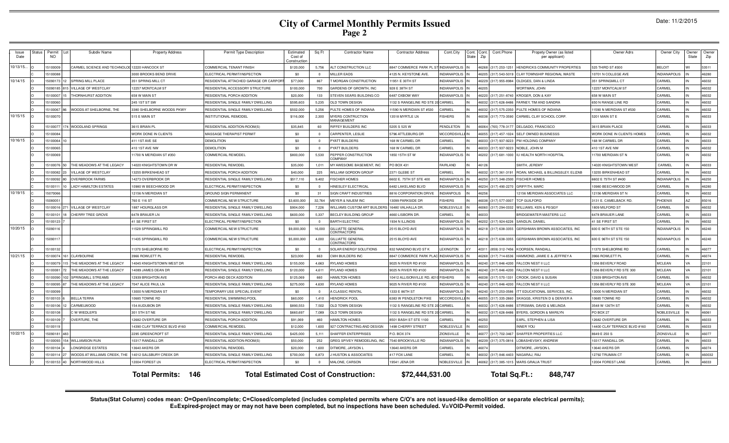|  | Date: 11/2/2015 |
|--|-----------------|
|--|-----------------|

| <b>Issue</b><br>Date | <b>Status</b> | Permit<br><b>NO</b> | Subdiv Name                                   | <b>Property Address</b>     | Permit Type Description               | Estimated<br>Cost of<br>constructio | Sq Ft          | Contractor Name                              | <b>Contractor Address</b>     | Cont.City              | Cont.<br>State | Cont.<br>Zip | Cont.Phone           | Propety Owner (as listed<br>per applicant) | Owner Adrs                   | Owner City          | Owner<br>State | Owner<br>Zip |
|----------------------|---------------|---------------------|-----------------------------------------------|-----------------------------|---------------------------------------|-------------------------------------|----------------|----------------------------------------------|-------------------------------|------------------------|----------------|--------------|----------------------|--------------------------------------------|------------------------------|---------------------|----------------|--------------|
| 10/13/15.            |               | 1510000             | CARMEL SCIENCE AND TECHNOLOG 12220 HANCOCK ST |                             | COMMERCIAL TENANT FINISH              | \$120,000                           | 5,756          | LT CONSTRUCTION LLC                          | <b>3847 COMMERCE PARK PLS</b> | <b>INDIANAPOLIS</b>    |                | 6268         | (317) 253-125        | <b>IENDRICKS COMMUNITY PROPERTIES</b>      | 525 THIRD ST #300            | <b>BELOIT</b>       |                | 53511        |
|                      |               | 1510008             |                                               | 3000 BROOKS BEND DRIVE      | ELECTRICAL PERMIT/INSPECTION          | \$0                                 | $\Omega$       | <b>MILLER EADS</b>                           | 1125 N. KEYSTONE AVE          | NDIANAPOLIS            |                | 6205         | (317) 543-5019       | CLAY TOWNSHIP REGIONAL WASTE               | 10701 N COLLEGE AVE          | <b>INDIANAPOLIS</b> |                | 46280        |
| 10/14/15             |               | 1509017             | <b>SPRING MILL PLACE</b>                      | <b>351 SPRING MILL CT</b>   | RESIDENTIAL ATTACHED GARAGE OR CARPOR | \$77,000                            | 867            | <b>MORGAN CONSTRUCTION</b>                   | 1951 E 30TH ST                | <b>INDIANAPOLIS</b>    |                | 6229         | 317) 955-8984        | <b>ILDIGES, DAN &amp; LINDA</b>            | 351 SPRINGMILL CT            | CARMEL              |                | 46032        |
|                      |               | 1509018             | VILLAGE OF WESTCLAY                           | <b>12257 MONTCALM ST</b>    | RESIDENTIAL ACCESSORY STRUCTURE       | \$100,000                           | 700            | GARDENS OF GROWTH. INC                       | 928 E 38TH ST                 | <b>INDIANAPOLIS</b>    |                | 6205         |                      | VORTMAN, JOHN                              | 12257 MONTCALM ST            | CARMEL              |                | 46032        |
|                      |               | 15100007            | THORNHURST ADDITION                           | <b>558 W MAIN ST</b>        | RESIDENTIAL PORCH ADDITION            | \$20,000                            | 133            | TEVEN SEARS BUILDING CC                      | 6487 OXBOW WAY                | <b>INDIANAPOLIS</b>    |                | 6220         | (317) 251-8740       | <b>KROGER, DON &amp; KAY</b>               | 658 W MAIN ST                | CARMEL              |                | 46032        |
|                      |               | 15100060            |                                               | 245 1ST ST SW               | RESIDENTIAL SINGLE FAMILY DWELLING    | \$595,603                           | 5,235          | OLD TOWN DESIGN                              | 132 S RANGELINE RD STE 2      | CARMEL                 |                | 16032        | (317) 626-8486       | ARNEY, TIM AND SANDRA                      | 650 N RANGE LINE RD          | CARMEL              |                | 46032        |
|                      |               | 15100067            | WOODS AT SHELBORNE, THE                       | 3380 SHELBORNE WOODS PKWY   | RESIDENTIAL SINGLE FAMILY DWELLING    | \$502,000                           | 5,256          | PULTE HOMES OF INDIANA                       | 1590 N MERIDIAN ST #530       | <b>ARMEL</b>           |                | 46032        | (317) 575-2350       | ULTE HOMES OF INDIANA                      | 1590 N MERIDIAN ST #530      | CARMEL              |                | 46032        |
| 10/15/15             |               | 15100070            |                                               | 515 E MAIN ST               | INSTITUTIONAL REMODEL                 | \$116,000                           | 2,300          | MYERS CONTRUCTION<br>MANAGEMENT              | 3518 MYRTLE LN                | <b>ISHERS</b>          |                | 46038        | (317) 773-3590       | CARMEL CLAY SCHOOL CORP.                   | 5201 MAIN ST E               | CARMEL              |                | 46033        |
|                      |               | 1510007             | <b>WOODLAND SPRINGS</b>                       | 3615 BRIAN PL               | RESIDENTIAL ADDITION-ROOM(S)          | \$35,845                            | 60             | RIFFEY BUILDERS INC                          | 5205 S 525 W                  | <b>PENDLETON</b>       |                | 16064        | (765) 778-3177       | DELGADO, FRANCISCO                         | 3615 BRIAN PLACE             | CARMEL              |                | 46033        |
|                      |               | 15100084            |                                               | WORK DONE IN CLIENTS        | MASSAGE THERAPIST PERMIT              | \$0                                 | $\Omega$       | CARPENTER, LESLIE                            | 5796 ATTLEBURG DR             | <b>MCCORDSVILLE IN</b> |                | 16055        | (317) 457-1024       | SELF OWNED BUSINESSS                       | WORK DONE IN CLIENTS HOMES   | CARMEL              |                | 46032        |
| 10/16/15             |               | 15100064            |                                               | 411 1ST AVE SE              | <b>DEMOLITION</b>                     | \$0                                 | $\Omega$       | PYATT BUILDERS                               | 68 W CARMEL DR                | CARMEL                 |                | 16033        | (317) 937-9223       | PM HOLDING COMPANY                         | 168 W CARMEL DR              | CARMEL              |                | 46033        |
|                      |               | 15100065            |                                               | 410 1ST AVE NW              | <b>DEMOLITION</b>                     | \$0                                 | $\Omega$       | PYATT BUILDERS                               | 68 W CARMEL DR                | CARMEL                 |                | 16033        | (317) 937-9223       | NOBLE, JOHN M                              | 410 1ST AVE NW               | CARMEL              |                | 46032        |
|                      |               | 1510006             |                                               | 1700 N MERIDIAN ST #350     | COMMERCIAL REMODEL                    | \$800,000                           | 5,530          | <b>PEPPER CONSTRUCTION</b><br><b>COMPANY</b> | 850 15TH STW                  | <b>INDIANAPOLIS</b>    |                | 6202         | (317) 681-1000       | U HEALTH NORTH HOSPITAL                    | 1700 MERIDIAN ST N           | CARMEL              |                | 46032        |
|                      |               | 15100076            | THE MEADOWS AT THE LEGACY                     | 4020 KNIGHTSTOWN DR W       | RESIDENTIAL REMODEL                   | \$35,000                            | 1.011          | MY AWESOME BASEMENT. INC                     | PO BOX 431                    | FAIRLAND               |                | 46126        |                      | <b>SMITH, JEREMY</b>                       | 4020 KNIGHTSTOWN WEST        | CARMEL              |                | 46033        |
|                      |               | 15100082            | VILLAGE OF WESTCLAY                           | 13255 BIRKENHEAD ST         | RESIDENTIAL PORCH ADDITION            | \$40,000                            | 225            | WILLIAM GORDON GROUP                         | 2371 GLEBE ST                 | CARMEL                 |                |              | 46032 (317) 361-3191 | ROAN, MICHAEL & BILLINGSLEY, ELIZAB        | 13255 BIRKENHEAD ST          | CARMEL              |                | 46032        |
|                      |               | 1510009             | <b>OVERBROOK FARMS</b>                        | 14273 OVERBROOK DR          | RESIDENTIAL SINGLE FAMILY DWELLING    | \$517,110                           | 9,402          | <b>ISCHER HOMES</b>                          | 6602 E. 75TH ST STE 400       | <b>INDIANAPOLIS</b>    |                | 6250         | (317) 348-2500       | <b>ISCHER HOMES</b>                        | 6602 E 75TH ST #400          | <b>INDIANAPOLIS</b> |                | 46250        |
|                      |               | 151001              | <b>LADY HAMILTON ESTATES</b>                  | 0980 W BEECHWOOD DF         | ELECTRICAL PERMIT/INSPECTION          | \$0                                 | $\overline{0}$ | HINESLEY ELECTRICAL                          | 6482 LAKELAND BLVD            | <b>INDIANAPOLIS</b>    |                | 6234         | (317) 490-227        | <b>GRIFFITH, MARC</b>                      | 10980 BEECHWOOD DR           | CARMEL              |                | 46280        |
| 10/19/15             |               | 1507006             |                                               | 2156 N MERIDIAN ST          | <b>GROUND SIGN PERMANENT</b>          | \$0                                 | 31             | IGN CRAFT INDUSTRIES                         | <b>816 CORPORATION DRIVE</b>  | <b>VDIANPOLIS</b>      |                | 625          |                      | 2156 MERIDIAN ASSOCIATES LLC               | 2156 MERIDIAN ST N           | CARMEL              |                | 46032        |
|                      |               | 1508005             |                                               | 760 E 116 ST                | COMMERCIAL NEW STRUCTURE              | \$3,600,000                         | 32.764         | MEYER & NAJEM INC                            | 3099 PARKSIDE DR              | <b>SHERS</b>           |                | 6038         | 317) 577-0007        | <b>CP GUILFORD</b>                         | 3131 E. CAMELBACK RD         | PHOENIX             |                | 85016        |
|                      |               | 15100016            | VILLAGE OF WESTCLAY                           | 1887 HOURGLASS DR           | RESIDENTIAL SINGLE FAMILY DWELLING    | \$904,000                           | 7,226          | WILLIAMS CUSTOM ART BUILDERS                 | 16480 VALHALLA DR.            | NOBLESVILLE            |                | 16060        | 317) 294-0332        | WILLIAMS, KEN & PEGGY                      | 1809 MILFORD ST              | CARMEL              |                | 46032        |
|                      |               | 1510010             | CHERRY TREE GROVE                             | 6478 BRAUER LN              | RESIDENTIAL SINGLE FAMILY DWELLING    | \$600,000                           | 5,337          | BECLEY BUILDING GROUP                        | 660 LISBORN DR.               | CARMEL                 |                | 16033        |                      | RIDGEWATER MASTERS LLC                     | 6478 BRAUER LANE             | CARMEL              |                | 46033        |
|                      |               | 1510012             |                                               | 41 SE FIRST ST              | ELECTRICAL PERMIT/INSPECTION          | \$0                                 | $\Omega$       | <b>BARTH ELECTRIC</b>                        | 934 N ILLINOIS                | <b>INDIANAPOLIS</b>    |                | 16202        | (317) 924-6226       | SANDLIN, DANIEL                            | 41 SE FIRST ST               | CARMEL              |                | 46032        |
| 10/20/15             |               | 1509011             |                                               | 1529 SPRINGMILL RD          | COMMERCIAL NEW STRUCTURE              | \$9,000,000                         | 16,000         | GILLIATTE GENERAL<br><b>ONTRACTORS</b>       | 2515 BLOYD AVE                | <b>INDIANAPOLIS</b>    |                | 46218        | (317) 638-3355       | GERSHMAN BROWN ASSOCIATES, INC             | 600 E 96TH ST STE 150        | <b>INDIANAPOLIS</b> |                | 46240        |
|                      |               | 15090117            |                                               | 11435 SPRINGMILL RD         | COMMERCIAL NEW STRUCTURE              | \$5,000,000                         | 4.000          | <b>GILLIATTE GENERAL</b><br>ONTRACTORS       | 2515 BLOYD AVE                | <b>INDIANAPOLIS</b>    |                |              | 46218 (317) 638-3355 | GERSHMAN BROWN ASSOCIATES. INC             | 600 E 96TH ST STE 150        | <b>INDIANAPOLIS</b> |                | 46240        |
|                      |               | 1510013             |                                               | 11370 SHELBORNE RD          | ELECTRICAL PERMIT/INSPECTION          | \$0                                 |                | <b>SOLAR ENERGY SOLUTIONS</b>                | 32 NANDINO BLVD ST            | <b>EXINGTON</b>        |                | 0311         | 859) 312-7456        | <b>(OORSEN, RANDALL</b>                    | 1370 SHELBORNE RD            | CARMEL              |                | 46077        |
| 10/21/15             |               | 15100074            | CLAYBOURNE                                    | 3966 ROWLETT PI             | RESIDENTIAL REMODEL                   | \$23,000                            | 663            | MH BUILDERS INC                              | 8847 COMMERCE PARK PLAC       | <b>INDIANAPOLIS</b>    |                | 6268         | 317) 714-6536        | <b>IAMMOND, JAMIE E &amp; JEFFREY A</b>    | 3966 ROWLETT PL              | CARMEL              |                | 46074        |
|                      |               | 15100079            | THE MEADOWS AT THE LEGACY                     | 14045 KNIGHTSTOWN WEST DR   | RESIDENTIAL SINGLE FAMILY DWELLING    | \$155,000                           | 4.663          | RYLAND HOMES                                 | 9025 N RIVER RD #100          | <b>INDIANAPOLIS</b>    |                | 16240        | (317) 846-4200       | ALCON NEST II LLC                          | 1356 BEVERLY ROAD            | <b>MCLEAN</b>       | VA             | 22101        |
|                      |               | 15100081            | THE MEADOWS AT THE LEGACY                     | 4089 JAMES DEAN DR          | RESIDENTIAL SINGLE FAMILY DWELLING    | \$120,000                           | 4,611          | RYLAND HOMES                                 | 9025 N RIVER RD #100          | <b>INDIANAPOLIS</b>    |                | 16240        | (317) 846-4200       | ALCON NEST II LLC                          | 1356 BEVERLY RD STE 300      | <b>MCLEAN</b>       | VA             | 22101        |
|                      |               | 15100090            | SPRINGMILL STREAMS                            | <b>2939 BRIGHTON AVE</b>    | PORCH AND DECK ADDITION               | \$125,069                           | 660            | <b>HAMILTON HOMES</b>                        | 0412 ALLISONVILLE RD, #2      | <b>ISHERS</b>          |                | 46038        | (317) 570-133        | ROOK, DAVID & SUSAN                        | 12939 BRIGHTON AVE           | CARMEL              |                | 46032        |
|                      |               | 15100095            | THE MEADOWS AT THE LEGACY                     | 7047 ALICE PAUL LN          | RESIDENTIAL SINGLE FAMILY DWELLING    | \$275,000                           | 4.630          | <b>RYLAND HOMES</b>                          | 9025 N RIVER RD #100          | <b>INDIANAPOLIS</b>    |                | 16240        | (317) 846-4200       | ALCON NEST II LLC                          | 1356 BEVERLY RD STE 300      | <b>MCLEAN</b>       | <b>MA</b>      | 22101        |
|                      |               | 1510009             |                                               | 13000 N MERIDIAN ST         | TEMPORARY USE SPECIAL EVENT           | \$0                                 | $^{\circ}$     | A CLASSIC RENTAI                             | 333 F 86TH ST                 | <b>INDIANAPOLIS</b>    |                | 16240        | 317) 253-0586        | <b>IT EDUCATIONAL SERVICES, INC</b>        | 13000 N MERIDIAN ST          | CARMEL              |                | 46032        |
|                      |               | 1510010             | <b>BELLA TERRA</b>                            | 0685 TOWNE RD               | RESIDENTIAL SWIMMING POOL             | \$60,000                            | 1.410          | <b>IENDRICK POOL</b>                         | 383 W PENDLETON PIKE          | <b>ACCORDSVILL</b>     |                | 6055         | 317) 335-2660        | SKAGGS, KRISTEN D & DENVER A               | 0685 TOWNE RD                | CARMEL              |                | 46032        |
|                      |               | 15100106            | CARMELWOOD                                    | <b>154 AUDUBON DR</b>       | RESIDENTIAL SINGLE FAMILY DWELLING    | \$890,553                           | 7,502          | OLD TOWN DESIGN                              | 132 S RANGELINE RD STE 20     | CARMEL                 |                | 6032         | 317) 626-8486        | TIRSMAN, DAVID & MELINDA                   | 3548 W 126TH ST              | CARMEL              |                | 46032        |
|                      |               | 15100108            | C W WIEDLER'S                                 | 301 5TH ST NE               | RESIDENTIAL SINGLE FAMILY DWELLING    | \$660,697                           | 7,089          | OLD TOWN DESIGN                              | 132 S RANGELINE RD STE 2      | CARMEL                 | IΝ             | 46032        | (317) 626-8486       | BYERS, GORDON & MARILYN                    | PO BOX 27                    | NOBLESVILLE         |                | 46061        |
|                      |               | 1510010             | OVERTURE, THE                                 | 12682 OVERTURE DR           | RESIDENTIAL PORCH ADDITION            | \$91,069                            | 460            | <b>HAMILTON HOMES</b>                        | 3501 BASH ST STE 1100         | CARMEL                 | IN             | 46250        |                      | ARL, STEPHEN & LISA                        | 12682 OVERTURE DR            | CARMEL              |                | 46033        |
|                      |               | 15100119            |                                               | 4390 CLAY TERRACE BLVD #160 | COMMERCIAL REMODEL                    | \$12,000                            | 1.600          | 27 CONTRACTING AND DESIGN                    | 498 CHERRY STREET             | <b>NOBLESVILLE</b>     |                | 46033        |                      | NNER YOU                                   | 14400 CLAY TERRACE BLVD #160 | CARMEL              |                | 46033        |
| 10/22/15             |               | 1509018             |                                               | 2295 GREENCROFT ST          | RESIDENTIAL SINGLE FAMILY DWELLING    | \$425,000                           | 5,111          | HAFFER ENTERPRISES                           | P.O. BOX 374                  | ZIONSVILLE             |                | 16077        | (317) 702-3467       | SHAFFER PROPERTIES LLC                     | 8649 E 250 S                 | ZIONSVILLE          |                | 46077        |
|                      |               | 1510009             | WILLIAMSON RUN                                | 0317 RANDALL DR             | RESIDENTIAL ADDITION-ROOM(S           | \$50,000                            | 252            | GREG SPIVEY REMODELING, INC                  | 540 BROOKVILLE RD             | <b>INDIANAPOLIS</b>    |                | 6239         | 317) 375-081         | OBASHEVSKY, ANDREW                         | 10317 RANDALL DR             | CARMEL              |                | 46033        |
|                      |               | 1510010             | ONGRIDGE ESTATES                              | 13640 AKERS DR              | RESIDENTIAL REMODEL                   | \$20,000                            | 1.600          | <b>TMORE, JAYSON I</b>                       | 3640 AKERS DR                 | CARMEL                 |                | 607          |                      | <b>ITMORE, JAYSON I</b>                    | 13640 AKERS DR               | CARMEL              |                | 46074        |
|                      |               | 15100114            | WOODS AT WILLIAMS CREEK, THE                  | 14012 SALSBURY CREEK DR     | RESIDENTIAL SINGLE FAMILY DWELLING    | \$700,000                           | 6,873          | <b>HUSTON &amp; ASSOCIATES</b>               | <b>117 FOX LANE</b>           | CARMEL                 |                | 16032        | (317) 846-4403       | NAGARAJ, RAJ                               | 12792 TRUMAN CT              | CARMEL              |                | 460032       |
|                      |               | 15100153            | NORTHWOOD HILLS                               | 12004 FOREST LN             | ELECTRICAL PERMIT/INSPECTION          | \$0                                 | $\Omega$       | MALONE, CARSON                               | 19541 JENA DR                 | <b>NOBLESVILLE</b>     | IN             |              |                      | 46062 (317) 385-1015 MARS GRALIA TRUST     | 12004 FOREST LANE            | CARMEL              |                | 46033        |
|                      |               |                     |                                               | <b>Total Permits: 146</b>   |                                       |                                     |                | <b>Total Estimated Cost of Construction:</b> | \$72,444,531.00               |                        |                |              |                      | Total Sq.Ft.:<br>848,747                   |                              |                     |                |              |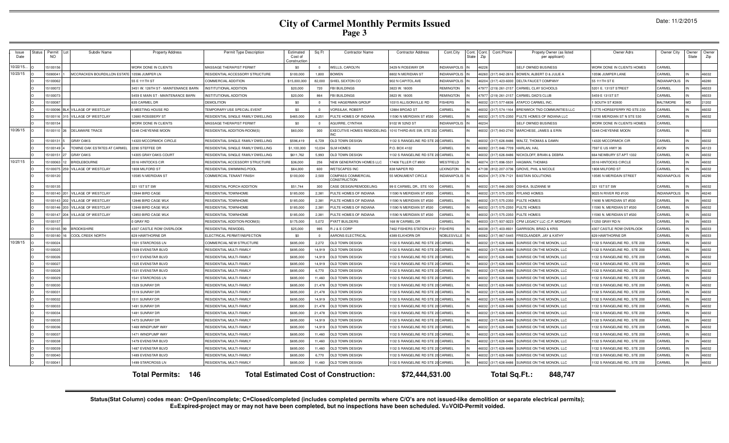| Issue<br>Date | Status | Permit<br>N <sub>O</sub> | Subdiv Name                      | <b>Property Address</b>             | Permit Type Description            | Estimated<br>Cost of<br>Constructio | Sq Ft    | <b>Contractor Name</b>                       | <b>Contractor Address</b>         | Cont.City           | Cont.<br><b>State</b> | Cont.<br>Zip | Cont.Phone           | Propety Owner (as listed<br>per applicant)     | Owner Adrs                    | Owner City          | Owner<br>State | Owner<br>Zip |
|---------------|--------|--------------------------|----------------------------------|-------------------------------------|------------------------------------|-------------------------------------|----------|----------------------------------------------|-----------------------------------|---------------------|-----------------------|--------------|----------------------|------------------------------------------------|-------------------------------|---------------------|----------------|--------------|
| 10/22/15.     |        | 15100156                 |                                  | WORK DONE IN CLIENTS                | MASSAGE THERAPIST PERMIT           | \$0                                 | $\Omega$ | <b>NELLS, CAROLYN</b>                        | 3429 N ROSEWAY DR                 | <b>INDIANAPOLIS</b> |                       | 46226        |                      | SELF OWNED BUSINESS                            | WORK DONE IN CLIENTS HOMES    | CARMEL              |                |              |
| 10/23/15      |        | 15080041                 | MCCRACKEN BOURDILLON ESTATE      | 10596 JUMPER LN                     | RESIDENTIAL ACCESSORY STRUCTURE    | \$100,000                           | 1,800    | <b>OWEN</b>                                  | 8802 N MERIDIAN ST                | <b>INDIANAPOLIS</b> |                       |              | 46260 (317) 842-2616 | BOWEN, ALBERT D & JULIE A                      | 10596 JUMPER LANE             | CARMEL              |                | 46032        |
|               |        | 15100062                 |                                  | 55 E 111TH ST                       | COMMERCIAL ADDITION                | \$15,000,000                        | 82,000   | HIEL SEXTON CO                               | 902 N CAPITOL AVE                 | <b>INDIANAPOLI</b>  |                       |              | 46204 (317) 423-6000 | DELTA FAUCET COMPANY                           | 55 111 TH ST E                | <b>INDIANAPOLIS</b> |                | 46280        |
|               |        | 15100072                 |                                  | 3451 W. 126TH ST - MAINTENANCE BARN | INSTITUTIONAL ADDITION             | \$20,000                            | 720      | FBI BUILDINGS                                | 3823 W. 18005                     | <b>REMINGTON</b>    |                       |              | 47977 (219) 261-2157 | CARMEL CLAY SCHOOLS                            | 5201 E. 131ST STREET          | CARMEL              |                | 46033        |
|               |        | 15100073                 |                                  | 459 E MAIN ST - MAINTENANCE BARN    | NSTITUTIONAL ADDITION              | \$20,000                            | 864      | BI BUILDINGS                                 | 3823 W. 18005                     | REMINGTON           |                       |              | 17977 (219) 261-2157 | CARMEL DAD'S CLUB                              | 5459 E 131ST ST               | CARMEL              |                | 46033        |
|               |        | 15100087                 |                                  | 635 CARMEL DR                       | DEMOLITION                         | \$0                                 |          | HE HAGERMAN GROUP                            | 10315 ALLISONVILLE RD             | <b>ISHERS</b>       |                       |              | (317) 577-6836       | ATAPCO CARMEL INC                              | 1 SOUTH ST #2800              | <b>BALTIMORE</b>    |                | 21202        |
|               |        |                          | 15100096 BLK VILLAGE OF WESTCLAY | 0 MEETING HOUSE RD                  | TEMPORARY USE SPECIAL EVENT        | \$0                                 | $\Omega$ | /ORSILAK, ROBERT                             | 12884 BROAD ST                    | CARMEL              |                       |              | 46032 (317) 574-1164 | BRENWICK TND COMMUNITIES LLC                   | 12775 HORSEFERRY RD STE 230   | CARMEL              |                | 46032        |
|               |        | 15100116                 | VILLAGE OF WESTCLAY              | 2680 ROSEBERY ST                    | RESIDENTIAL SINGLE FAMILY DWELLING | \$465,000                           | 8,251    | <b>ULTE HOMES OF INDIANA</b>                 | 11590 N MERIDIAN ST #530          | CARMEL              |                       |              | (317) 575-2350       | PULTE HOMES OF INDIANA LLC                     | 11590 MERIDIAN ST N STE 530   | CARMEL              |                | 46032        |
|               |        | 15100154                 |                                  | <b><i>NORK DONE IN CLIENTS</i></b>  | MASSAGE THERAPIST PERMIT           | \$0                                 | $\Omega$ | <b>AGUIRRE, CYNTHIA</b>                      | 9102 W 52ND ST                    | <b>INDIANAPOLIS</b> |                       | 46234        |                      | SELF OWNED BUSINESS                            | WORK DONE IN CLIENTS HOMES    | CARMEL              |                |              |
| 10/26/15      |        | 15100110                 | DELAWARE TRACE                   | 5248 CHEYENNE MOON                  | RESIDENTIAL ADDITION-ROOM(S)       | \$60,000                            | 300      | <b>EXECUTIVE HOMES REMODELING</b>            | 1010 THIRD AVE SW. STE 202 CARMEL |                     |                       |              | 46032 (317) 843-2740 | MARCHESE, JAMES & ERIN                         | 5248 CHEYENNE MOON            | CARMEL              |                | 46032        |
|               |        | 15100131                 | <b>GRAY OAKS</b>                 | 4320 MCCORMICK CIRCLE               | RESIDENTIAL SINGLE FAMILY DWELLING | \$596,419                           | 6,729    | OLD TOWN DESIGN                              | 1132 S RANGELINE RD STE 20 CARMEL |                     |                       |              | 46032 (317) 626-8486 | WALTZ, THOMAS & DAWN                           | 14320 MCCORMICK CIR           | CARMEL              |                | 46032        |
|               |        | 15100149                 | TOWNE OAK ESTATES AT CARMEL      | 2290 STEFFEE DR                     | RESIDENTIAL SINGLE FAMILY DWELLING | \$1,100,000                         | 10,034   | <b>LM HOMES</b>                              | P.O. BOX 4102                     | CARMEL              |                       |              | 46082 (317) 846-7709 | HARLAN, HAL                                    | 7597 E US HWY 36              | <b>AVON</b>         |                | 46123        |
|               |        | 15100151                 | <b>GRAY OAKS</b>                 | 4305 GRAY OAKS COURT                | RESIDENTIAL SINGLE FAMILY DWELLING | \$611,762                           | 5,993    | OLD TOWN DESIGN                              | 1132 S RANGELINE RD STE 20 CARMEL |                     |                       |              | 46032 (317) 626-8486 | NICKOLOFF, BRIAN & DEBRA                       | 664 NEWBURY ST APT 1332       | CARMEL              |                | 46032        |
| 10/27/15      |        | 15100063                 | <b>BRIDLEBOURNE</b>              | 3516 HINTOCKS CIR                   | RESIDENTIAL ACCESSORY STRUCTURE    | \$36,000                            | 256      | <b>NEW GENERATION HOMES LLC</b>              | 17406 TILLER CT #800              | WESTFIELD           |                       |              | 46074 (317) 896-5501 | HAGMAN, THOMAS                                 | 3516 HINTOCKS CIRCLE          | CARMEL              |                | 46032        |
|               |        | 1510007                  | VILLAGE OF WESTCLAY              | <b>808 MILFORD ST</b>               | RESIDENTIAL SWIMMING POOL          | \$64,000                            | 600      | <b>IETSCAPES INC</b>                         | 338 NAPER RD                      | <b>EXINGTON</b>     |                       |              | 17138 (812) 207-3736 | GROVE, PHIL & NICOLE                           | 1808 MILFORD ST               | CARMEL              |                | 46032        |
|               |        | 15100120                 |                                  | 0585 N MERIDIAN ST                  | COMMERCIAL TENANT FINISH           | \$100,000                           | 2,500    | OMPASS COMMERCIAL<br>ONSTRUCTION             | 55 MONUMENT CIRCLE                | <b>INDIANAPOLIS</b> |                       |              | 46204 (317) 378-7121 | <b>BASTAIN SOLUTIONS</b>                       | 10585 N MERIDAIN STREET       | NDIANAPOLIS         |                | 46290        |
|               |        | 15100135                 |                                  | 321 1ST ST SW                       | RESIDENTIAL PORCH ADDITION         | \$51,744                            | 300      | ASE DESIGN/REMODELING                        | 99 E CARMEL DR., STE 100          | CARMEL              |                       |              | 6032 (317) 846-2600  | OSHEA, SUZANNE M                               | 321 1ST ST SW                 | CARMEL              |                | 46032        |
|               |        | 15100140                 | VILLAGE OF WESTCLAY              | 2844 BIRD CAGE                      | RESIDENTIAL TOWNHOME               | \$185,000                           | 2,381    | <b>PULTE HOMES OF INDIANA</b>                | 1590 N MERIDIAN ST #530           | CARMEL              |                       |              | 6032 (317) 575-2350  | RYLAND HOMES                                   | 9025 N RIVER RD #100          | <b>INDIANAPOLIS</b> |                | 46240        |
|               |        | 15100143                 | VILLAGE OF WESTCLAY              | 2846 BIRD CAGE WLK                  | RESIDENTIAL TOWNHOME               | \$185,000                           | 2.381    | ULTE HOMES OF INDIANA                        | 1590 N MERIDIAN ST #530           | CARMEL              |                       |              | (6032 (317) 575-2350 | PULTE HOMES                                    | 11690 N MERIDIAN ST #530      | CARMEL              |                | 46032        |
|               |        | 15100146                 | VILLAGE OF WESTCLAY              | 2848 BIRD CAGE WLK                  | RESIDENTIAL TOWNHOME               | \$185,000                           | 2,381    | ULTE HOMES OF INDIANA                        | 1590 N MERIDIAN ST #530           | CARMEL              |                       |              | 46032 (317) 575-2350 | PULTE HOMES                                    | 11590 N. MERIDIAN ST #530     | CARMEL              |                | 46032        |
|               |        | 15100147                 | VILLAGE OF WESTCLAY<br>204       | 12850 BIRD CAGE WLK                 | RESIDENTIAL TOWNHOME               | \$185,000                           | 2,381    | PULTE HOMES OF INDIANA                       | 11590 N MERIDIAN ST #530          | CARMEL              |                       |              | 46032 (317) 575-2350 | PULTE HOMES                                    | 11590 N. MERIDIAN ST #530     | CARMEL              |                | 46032        |
|               |        | 15100157                 |                                  | 0 GRAY RD                           | RESIDENTIAL ADDITION-ROOM(S)       | \$175,000                           | 5.072    | PYATT BUILDERS                               | 168 W CARMEL DR                   | CARMEL              |                       |              | 46033 (317) 937-9223 | CPM LEGACY LLC (C.P. MORGAN)                   | 11250 GRAY RD N               | CARMEL              |                | 46033        |
|               |        | 15100165 99              | <b>BROOKSHIRE</b>                | 4307 CASTLE ROW OVERLOOK            | RESIDENTIAL REMODEL                | \$25,000                            | 995      | <b>I J &amp; E CORP</b>                      | 7462 FISHERS STATION #121         | <b>FISHERS</b>      |                       |              | (6038 (317) 403-8931 | GARRISON, BRAD & KRIS                          | 4307 CASTLE ROW OVERLOOK      | CARMEL              |                | 46033        |
|               |        | 15100180                 | COOL CREEK NORTH                 | 629 HAWTHORNE DR                    | ELECTRICAL PERMIT/INSPECTION       | \$0                                 | $\Omega$ | ARONS ELECTRICAL                             | 4389 ELKHORN DR                   | NOBLESVILL          |                       |              | 46062 (317) 867-5445 | FRIEDLANDER, JAY & KATHY                       | 629 HAWTHORNE DR              | CARMEL              |                | 46033        |
| 10/28/15      |        | 15100024                 |                                  | 501 STARCROSS LN                    | COMMERCIAL NEW STRUCTURE           | \$695,000                           | 2,272    | <b>OLD TOWN DESIGN</b>                       | 132 S RANGELINE RD STE 20 CARMEL  |                     |                       |              | 6032 (317) 626-8486  | <b>SUNRISE ON THE MONON, LLC</b>               | 132 S RANGELINE RD., STE 200  | CARMEL              |                | 46032        |
|               |        | 15100025                 |                                  | <b>1509 EVENSTAR BLVD</b>           | RESIDENTIAL MULTI-FAMILY           | \$695,000                           | 14.919   | <b>ILD TOWN DESIGN</b>                       | 132 S RANGELINE RD STE 20 CARMEL  |                     |                       |              | 6032 (317) 626-8486  | SUNRISE ON THE MONON, LLC                      | 1132 S RANGELINE RD., STE 200 | CARMEL              |                | 46032        |
|               |        | 15100026                 |                                  | 1517 EVENSTAR BLVD                  | RESIDENTIAL MULTI-FAMILY           | \$695,000                           | 14,919   | OLD TOWN DESIGN                              | 1132 S RANGELINE RD STE 20 CARMEL |                     |                       |              | 46032 (317) 626-8486 | SUNRISE ON THE MONON, LLC                      | 1132 S RANGELINE RD., STE 200 | CARMEL              |                | 46032        |
|               |        | 15100027                 |                                  | 525 EVENSTAR BLVD                   | RESIDENTIAL MULTI-FAMILY           | \$695,000                           | 14,919   | OLD TOWN DESIGN                              | 1132 S RANGELINE RD STE 20 CARMEL |                     |                       |              | (317) 626-8486       | SUNRISE ON THE MONON, LLC                      | 1132 S RANGELINE RD., STE 200 | CARMEL              |                | 46032        |
|               |        | 15100028                 |                                  | <b>1531 EVENSTAR BLVD</b>           | RESIDENTIAL MULTI-FAMILY           | \$695,000                           | 6.770    | OLD TOWN DESIGN                              | 1132 S RANGELINE RD STE 2         | <b>CARMEL</b>       |                       |              | 46032 (317) 626-8486 | SUNRISE ON THE MONON, LLC                      | 1132 S RANGELINE RD., STE 200 | CARMEL              |                | 46032        |
|               |        | 15100029                 |                                  | <b>1541 STARCROSS LN</b>            | RESIDENTIAL MULTI-FAMILY           | \$695,000                           | 11,460   | <b>DLD TOWN DESIGN</b>                       | 1132 S RANGELINE RD STE 20 CARMEL |                     |                       |              | 6032 (317) 626-8486  | SUNRISE ON THE MONON, LLC                      | 1132 S RANGELINE RD., STE 200 | CARMEL              |                | 46032        |
|               |        | 15100030                 |                                  | <b>1529 SUNRAY DR</b>               | RESIDENTIAL MULTI-FAMILY           | \$695,000                           | 21,478   | <b>OLD TOWN DESIGN</b>                       | 1132 S RANGELINE RD STE 2         | <b>CARME</b>        |                       |              | 6032 (317) 626-8486  | SUNRISE ON THE MONON, LLC                      | 1132 S RANGELINE RD., STE 200 | CARMEL              |                | 46032        |
|               |        | 15100031                 |                                  | 519 SUNRAY DR                       | RESIDENTIAL MULTI-FAMILY           | \$695,000                           | 21,478   | <b>DLD TOWN DESIGN</b>                       | 132 S RANGELINE RD STE 20 CARMEL  |                     |                       |              | 6032 (317) 626-8486  | <b>SUNRISE ON THE MONON, LLC</b>               | 132 S RANGELINE RD., STE 200  | CARMEL              |                | 46032        |
|               |        | 15100032                 |                                  | 1511 SUNRAY DR                      | RESIDENTIAL MULTI-FAMILY           | \$695,000                           | 14.919   | <b>ILD TOWN DESIGN</b>                       | 1132 S RANGELINE RD STE 20 CARMEL |                     |                       |              | 16032 (317) 626-8486 | <b>IUNRISE ON THE MONON. LLC</b>               | 132 S RANGELINE RD., STE 200  | CARMEL              |                | 46032        |
|               |        | 15100033                 |                                  | 1491 SUNRAY DR                      | RESIDENTIAL MULTI-FAMILY           | \$695,000                           | 21,478   | OLD TOWN DESIGN                              | 1132 S RANGELINE RD STE 20 CARMEL |                     |                       |              | 46032 (317) 626-8486 | SUNRISE ON THE MONON, LLC                      | 1132 S RANGELINE RD., STE 200 | CARMEL              |                | 46032        |
|               |        | 15100034                 |                                  | 481 SUNRAY DR                       | RESIDENTIAL MULTI-FAMILY           | \$695,000                           | 21,478   | OLD TOWN DESIGN                              | 1132 S RANGELINE RD STE 20 CARMEL |                     |                       |              | (317) 626-8486       | SUNRISE ON THE MONON, LLC                      | 1132 S RANGELINE RD., STE 200 | CARMEL              |                | 46032        |
|               |        | 15100035                 |                                  | <b>473 SUNRAY DR</b>                | RESIDENTIAL MULTI-FAMILY           | \$695,000                           | 14,919   | OLD TOWN DESIGN                              | 1132 S RANGELINE RD STE 20 CARMEL |                     |                       |              | (6032 (317) 626-8486 | SUNRISE ON THE MONON, LLC                      | 1132 S RANGELINE RD., STE 200 | CARMEL              |                | 46032        |
|               |        | 15100036                 |                                  | 469 WINDPUMP WAY                    | RESIDENTIAL MULTI-FAMILY           | \$695,000                           | 14,919   | OLD TOWN DESIGN                              | 1132 S RANGELINE RD STE 20 CARMEL |                     |                       |              | 46032 (317) 626-8486 | SUNRISE ON THE MONON, LLC                      | 1132 S RANGELINE RD., STE 200 | CARMEL              |                | 46032        |
|               |        | 15100037                 |                                  | 1471 WINDPUMP WAY                   | RESIDENTIAL MULTI-FAMILY           | \$695,000                           | 11.460   | <b>OLD TOWN DESIGN</b>                       | 1132 S RANGELINE RD STE 2         | CARMEL              |                       |              | 6032 (317) 626-8486  | <b>SUNRISE ON THE MONON, LLC</b>               | 1132 S RANGELINE RD., STE 200 | CARMEL              |                | 46032        |
|               |        | 15100038                 |                                  | 479 EVENSTAR BLVD                   | RESIDENTIAL MULTI-FAMILY           | \$695,000                           | 11.460   | <b>DLD TOWN DESIGN</b>                       | 132 S RANGELINE RD STE 20 CARMEL  |                     |                       |              | (6032 (317) 626-8486 | <b>SUNRISE ON THE MONON, LLC</b>               | 132 S RANGELINE RD., STE 200  | CARMEL              |                | 46032        |
|               |        | 15100039                 |                                  | <b>487 EVENSTAR BLVD</b>            | RESIDENTIAL MULTI-FAMILY           | \$695,000                           | 11,460   | <b>ILD TOWN DESIGN</b>                       | 1132 S RANGELINE RD STE 20 CARMEL |                     |                       |              | 46032 (317) 626-8486 | SUNRISE ON THE MONON, LLC                      | 1132 S RANGELINE RD., STE 200 | CARMEL              |                | 46032        |
|               |        | 15100040                 |                                  | <b>489 EVENSTAR BLVD</b>            | RESIDENTIAL MULTI-FAMILY           | \$695,000                           | 6,770    | <b>OLD TOWN DESIGN</b>                       | 1132 S RANGELINE RD STE 20 CARMEL |                     |                       |              | 46032 (317) 626-8486 | SUNRISE ON THE MONON, LLC                      | 1132 S RANGELINE RD., STE 200 | CARMEL              |                | 46032        |
|               |        | 15100041                 |                                  | 1499 STARCROSS LN                   | <b>RESIDENTIAL MULTI-FAMILY</b>    | \$695,000                           | 11,460   | OLD TOWN DESIGN                              | 1132 S RANGELINE RD STE 20 CARMEL |                     |                       |              |                      | 46032 (317) 626-8486 SUNRISE ON THE MONON, LLC | 1132 S RANGELINE RD., STE 200 | CARMEL              |                | 46032        |
|               |        |                          |                                  | 146<br><b>Total Permits:</b>        |                                    |                                     |          | <b>Total Estimated Cost of Construction:</b> | \$72,444,531.00                   |                     |                       |              | Total Sq.Ft.:        | 848,747                                        |                               |                     |                |              |